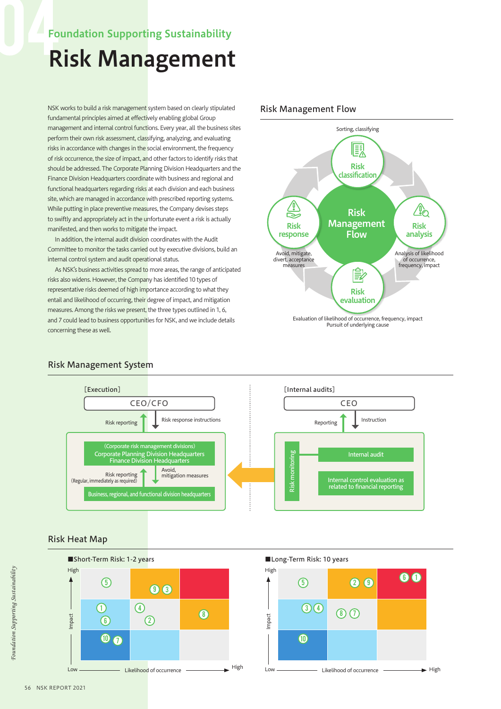### Foundation Supporting Sustainability

# Risk Management

NSK works to build a risk management system based on clearly stipulated fundamental principles aimed at effectively enabling global Group management and internal control functions. Every year, all the business sites perform their own risk assessment, classifying, analyzing, and evaluating risks in accordance with changes in the social environment, the frequency of risk occurrence, the size of impact, and other factors to identify risks that should be addressed. The Corporate Planning Division Headquarters and the Finance Division Headquarters coordinate with business and regional and functional headquarters regarding risks at each division and each business site, which are managed in accordance with prescribed reporting systems. While putting in place preventive measures, the Company devises steps to swiftly and appropriately act in the unfortunate event a risk is actually manifested, and then works to mitigate the impact.

In addition, the internal audit division coordinates with the Audit Committee to monitor the tasks carried out by executive divisions, build an internal control system and audit operational status.

As NSK's business activities spread to more areas, the range of anticipated risks also widens. However, the Company has identified 10 types of representative risks deemed of high importance according to what they entail and likelihood of occurring, their degree of impact, and mitigation measures. Among the risks we present, the three types outlined in 1, 6, and 7 could lead to business opportunities for NSK, and we include details concerning these as well.

#### Risk Management Flow



#### Risk Management System



#### Risk Heat Map



■Long-Term Risk: 10 years